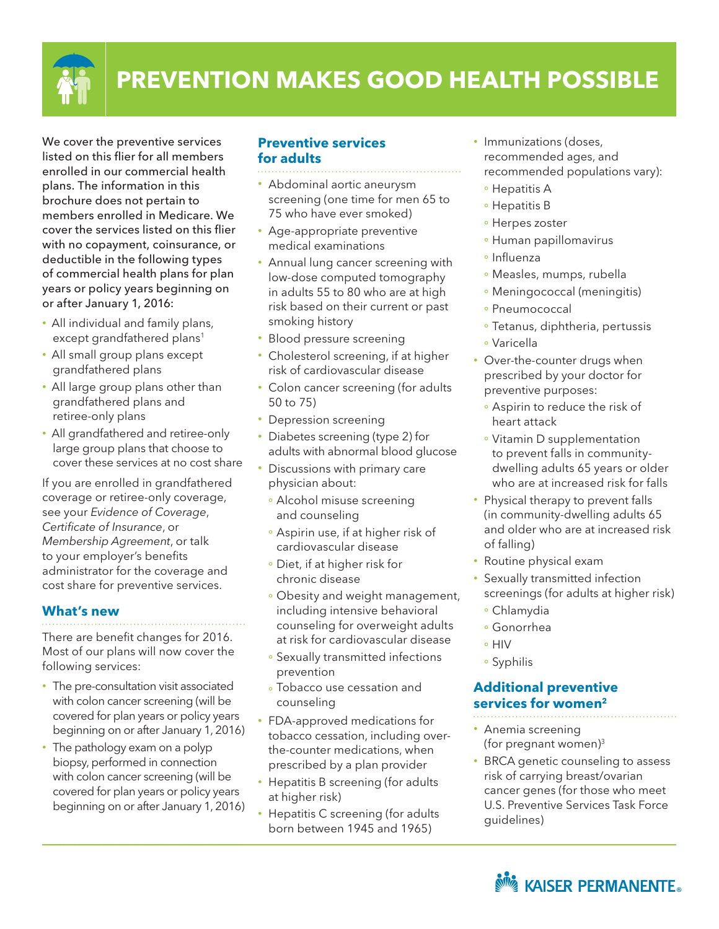

# **PREVENTION MAKES GOOD HEALTH POSSIBLE**

We cover the preventive services listed on this flier for all members enrolled in our commercial health plans. The information in this brochure does not pertain to members enrolled in Medicare. We cover the services listed on this flier with no copayment, coinsurance, or deductible in the following types of commercial health plans for plan years or policy years beginning on or after January 1, 2016:

- All individual and family plans, except grandfathered plans<sup>1</sup>
- All small group plans except grandfathered plans
- All large group plans other than grandfathered plans and retiree-only plans
- All grandfathered and retiree-only large group plans that choose to cover these services at no cost share

If you are enrolled in grandfathered coverage or retiree-only coverage, see your *Evidence of Coverage*, *Certificate of Insurance*, or *Membership Agreement*, or talk to your employer's benefits administrator for the coverage and cost share for preventive services.

#### **What's new**

There are benefit changes for 2016. Most of our plans will now cover the following services:

- The pre-consultation visit associated with colon cancer screening (will be covered for plan years or policy years beginning on or after January 1, 2016)
- The pathology exam on a polyp biopsy, performed in connection with colon cancer screening (will be covered for plan years or policy years beginning on or after January 1, 2016)

### **Preventive services for adults**

- • Abdominal aortic aneurysm screening (one time for men 65 to 75 who have ever smoked)
- Age-appropriate preventive medical examinations
- Annual lung cancer screening with low-dose computed tomography in adults 55 to 80 who are at high risk based on their current or past smoking history
- Blood pressure screening
- Cholesterol screening, if at higher risk of cardiovascular disease
- Colon cancer screening (for adults 50 to 75)
- Depression screening
- Diabetes screening (type 2) for adults with abnormal blood glucose
- Discussions with primary care physician about:
	- Alcohol misuse screening and counseling
	- Aspirin use, if at higher risk of cardiovascular disease
	- Diet, if at higher risk for chronic disease
	- Obesity and weight management, including intensive behavioral counseling for overweight adults at risk for cardiovascular disease
	- Sexually transmitted infections prevention
	- Tobacco use cessation and counseling
- FDA-approved medications for tobacco cessation, including overthe-counter medications, when prescribed by a plan provider
- Hepatitis B screening (for adults at higher risk)
- Hepatitis C screening (for adults born between 1945 and 1965)
- Immunizations (doses, recommended ages, and recommended populations vary):
	- <sup>o</sup> Hepatitis A
	- <sup>o</sup> Hepatitis B
	- Herpes zoster
	- Human papillomavirus
	- · Influenza
	- Measles, mumps, rubella
	- Meningococcal (meningitis)
	- Pneumococcal
	- <sup>o</sup> Tetanus, diphtheria, pertussis
	- Varicella
- Over-the-counter drugs when prescribed by your doctor for preventive purposes:
	- Aspirin to reduce the risk of heart attack
	- Vitamin D supplementation to prevent falls in communitydwelling adults 65 years or older who are at increased risk for falls
- Physical therapy to prevent falls (in community-dwelling adults 65 and older who are at increased risk of falling)
- Routine physical exam
- Sexually transmitted infection screenings (for adults at higher risk)
	- Chlamydia
	- Gonorrhea
- o HIV
- Syphilis

## **Additional preventive services for women2**

- Anemia screening (for pregnant women)3
- BRCA genetic counseling to assess risk of carrying breast/ovarian cancer genes (for those who meet U.S. Preventive Services Task Force guidelines)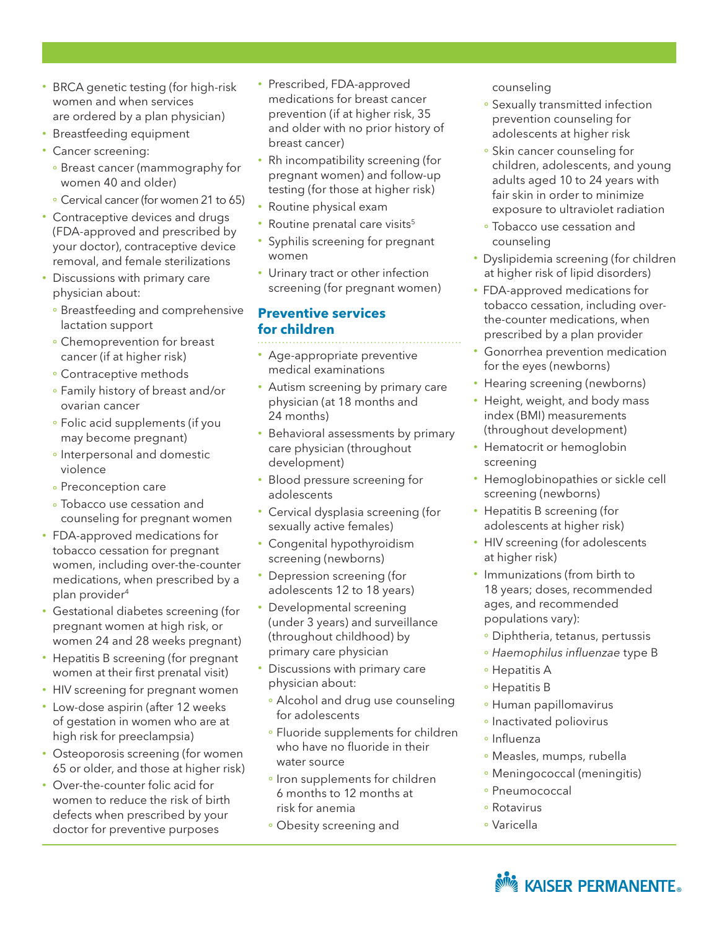- BRCA genetic testing (for high-risk women and when services are ordered by a plan physician)
- Breastfeeding equipment
- Cancer screening:
	- Breast cancer (mammography for women 40 and older)
	- Cervical cancer (for women 21 to 65)
- Contraceptive devices and drugs (FDA-approved and prescribed by your doctor), contraceptive device removal, and female sterilizations
- Discussions with primary care physician about:
	- **Breastfeeding and comprehensive** lactation support
	- Chemoprevention for breast cancer (if at higher risk)
	- Contraceptive methods
	- Family history of breast and/or ovarian cancer
	- Folic acid supplements (if you may become pregnant)
	- o Interpersonal and domestic violence
	- **Preconception care**
	- **Tobacco use cessation and** counseling for pregnant women
- FDA-approved medications for tobacco cessation for pregnant women, including over-the-counter medications, when prescribed by a plan provider4
- Gestational diabetes screening (for pregnant women at high risk, or women 24 and 28 weeks pregnant)
- Hepatitis B screening (for pregnant women at their first prenatal visit)
- HIV screening for pregnant women
- Low-dose aspirin (after 12 weeks of gestation in women who are at high risk for preeclampsia)
- Osteoporosis screening (for women 65 or older, and those at higher risk)
- • Over-the-counter folic acid for women to reduce the risk of birth defects when prescribed by your doctor for preventive purposes
- Prescribed, FDA-approved medications for breast cancer prevention (if at higher risk, 35 and older with no prior history of breast cancer)
- Rh incompatibility screening (for pregnant women) and follow-up testing (for those at higher risk)
- Routine physical exam
- Routine prenatal care visits<sup>5</sup>
- Syphilis screening for pregnant women
- Urinary tract or other infection screening (for pregnant women)

#### **Preventive services for children**

- Age-appropriate preventive medical examinations
- Autism screening by primary care physician (at 18 months and 24 months)
- Behavioral assessments by primary care physician (throughout development)
- Blood pressure screening for adolescents
- Cervical dysplasia screening (for sexually active females)
- Congenital hypothyroidism screening (newborns)
- Depression screening (for adolescents 12 to 18 years)
- Developmental screening (under 3 years) and surveillance (throughout childhood) by primary care physician
- Discussions with primary care physician about:
	- Alcohol and drug use counseling for adolescents
	- **Fluoride supplements for children** who have no fluoride in their water source
	- · Iron supplements for children 6 months to 12 months at risk for anemia
	- Obesity screening and

counseling

- Sexually transmitted infection prevention counseling for adolescents at higher risk
- Skin cancer counseling for children, adolescents, and young adults aged 10 to 24 years with fair skin in order to minimize exposure to ultraviolet radiation
- Tobacco use cessation and counseling
- Dyslipidemia screening (for children at higher risk of lipid disorders)
- FDA-approved medications for tobacco cessation, including overthe-counter medications, when prescribed by a plan provider
- Gonorrhea prevention medication for the eyes (newborns)
- Hearing screening (newborns)
- Height, weight, and body mass index (BMI) measurements (throughout development)
- Hematocrit or hemoglobin screening
- Hemoglobinopathies or sickle cell screening (newborns)
- Hepatitis B screening (for adolescents at higher risk)
- HIV screening (for adolescents at higher risk)
- Immunizations (from birth to 18 years; doses, recommended ages, and recommended populations vary):
- · Diphtheria, tetanus, pertussis
- *Haemophilus influenzae* type B
- <sup>o</sup> Hepatitis A
- Hepatitis B
- Human papillomavirus
- · Inactivated poliovirus
- Influenza
- Measles, mumps, rubella
- Meningococcal (meningitis)
- Pneumococcal
- Rotavirus
- Varicella